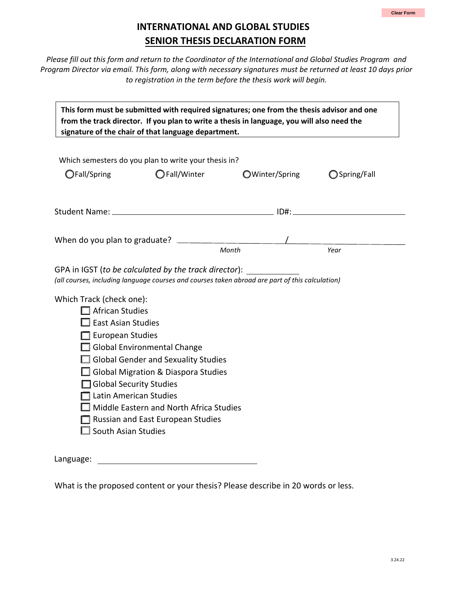## **INTERNATIONAL AND GLOBAL STUDIES SENIOR THESIS DECLARATION FORM**

*Please fill out this form and return to the Coordinator of the International and Global Studies Program and Program Director via email. This form, along with necessary signatures must be returned at least 10 days prior to registration in the term before the thesis work will begin.*

| This form must be submitted with required signatures; one from the thesis advisor and one<br>from the track director. If you plan to write a thesis in language, you will also need the<br>signature of the chair of that language department.                                                                                                                                             |  |                                                                       |       |                |               |  |  |
|--------------------------------------------------------------------------------------------------------------------------------------------------------------------------------------------------------------------------------------------------------------------------------------------------------------------------------------------------------------------------------------------|--|-----------------------------------------------------------------------|-------|----------------|---------------|--|--|
| OFall/Spring                                                                                                                                                                                                                                                                                                                                                                               |  | Which semesters do you plan to write your thesis in?<br>◯ Fall/Winter |       | OWinter/Spring | ◯ Spring/Fall |  |  |
|                                                                                                                                                                                                                                                                                                                                                                                            |  |                                                                       |       |                |               |  |  |
|                                                                                                                                                                                                                                                                                                                                                                                            |  |                                                                       | Month |                | Year          |  |  |
| GPA in IGST (to be calculated by the track director):<br>(all courses, including language courses and courses taken abroad are part of this calculation)                                                                                                                                                                                                                                   |  |                                                                       |       |                |               |  |  |
| Which Track (check one):<br>$\Box$ African Studies<br><b>East Asian Studies</b><br>European Studies<br>$\Box$ Global Environmental Change<br>Global Gender and Sexuality Studies<br>Global Migration & Diaspora Studies<br>Global Security Studies<br>Latin American Studies<br>Middle Eastern and North Africa Studies<br>$\Box$ Russian and East European Studies<br>South Asian Studies |  |                                                                       |       |                |               |  |  |
| Language:                                                                                                                                                                                                                                                                                                                                                                                  |  |                                                                       |       |                |               |  |  |

What is the proposed content or your thesis? Please describe in 20 words or less.